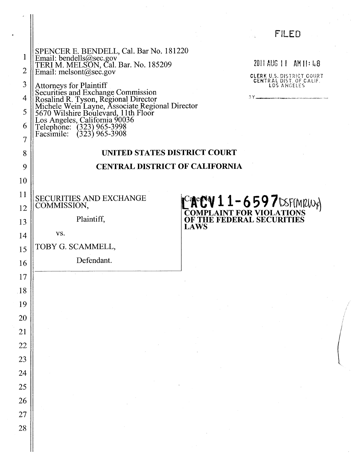### FILED

1 2 SPENCER E. BENDELL, Cal. Bar No. 181220 Email: bendells@sec.gov TERI M. MELSDN, Cal. Bar. No. 185209 Email: melsont@sec.gov

 $2011$  AUG  $11$  AM  $11: L8$ 

CLERK U.S. DISTRICT COURT<br>CENTRAL DIST. OF CALIF.<br>LOS ANGELES

 $\begin{pmatrix} 1 \\ 1 \end{pmatrix}$ 

5 3 4 6 Attorneys for Plaintiff Securities and Exchange Commission Rosalind R. Tyson, Regional Director Michele Wein Layne, Associate Regional Director 5670 Wilshire Boulevard, 11th Floor  $\text{Log Angeles}, \text{Califomia } 90036$ Telephone: (323) 965-3998 FacsImile: (323) 965-3908

### UNITED STATES DISTRICT COURT

#### CENTRAL DISTRICT OF CALIFORNIA

SECURITIES AND EXCHANGE COMMISSION,

Plaintiff,

vs.

10

11

12

13

14

7

8

9

15

16

17

18

20

21

22

23

19

25

26

27

28

24

TOBY G. SCAMMELL,

Defendant.

 $t^c$ **ACV 11-659 7**tsF(MRW) COMPLAINT FOR VIOLATIONS OF THE FEDERAL SECURITIES **LAWS**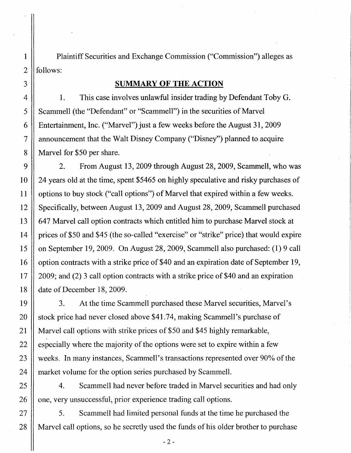Plaintiff Securities and Exchange Commission ("Commission") alleges as follows:

#### **SUMMARY OF THE ACTION**

1. This case involves unlawful insider trading by Defendant Toby G. Scammell (the "Defendant" or "Scammell") in the securities of Marvel Entertainment, Inc. ("Marvel") just a few weeks before the August 31, 2009 announcement that the Walt Disney Company ("Disney") planned to acquire Marvel for \$50 per share.

2. From August 13,2009 through August 28,2009, Scammell, who was 24 years old at the time, spent \$5465 on highly speculative and risky purchases of options to buy stock ("call options") of Marvel that expired within a few weeks. Specifically, between August 13,2009 and August 28,2009, Scammell purchased 647 Marvel call option contracts which entitled him to purchase Marvel stock at prices of \$50 and \$45 (the so-called "exercise" or "strike" price) that would expire on September 19,2009. On August 28, 2009, Scammell also purchased: (1) 9 call option contracts with a strike price of\$40 and an expiration date of September 19, 2009; and (2) 3 call option contracts with a strike price of \$40 and an expiration date of December 18, 2009.

3. At the time Scammell purchased these Marvel securities, Marvel's stock price had never closed above \$4l.74, making Scammell's purchase of Marvel call options with strike prices of \$50 and \$45 highly remarkable, especially where the majority of the options were set to expire within a few weeks. In many instances, Scammell's transactions represented over 90% of the market volume for the option series purchased by Scammell.

4. Scammell had never before traded in Marvel securities and had only one, very unsuccessful, prior experience trading call options.

5. Scammell had limited personal funds at the time he purchased the Marvel call options, so he secretly used the funds of his older brother to purchase

1

2

3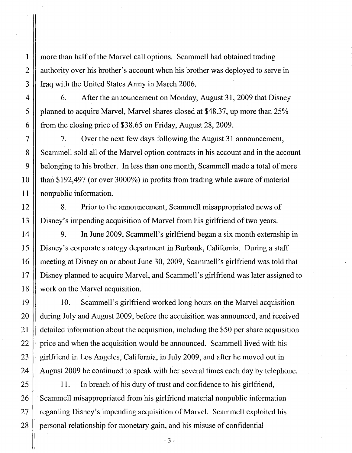more than half of the Marvel call options. Scammell had obtained trading authority over his brother's account when his brother was deployed to serve in Iraq with the United States Army in March 2006.

6. After the announcement on Monday, August 31, 2009 that Disney planned to acquire Marvel, Marvel shares closed at \$48.37, up more than 25% from the closing price of \$38.65 on Friday, August 28, 2009.

7. Over the next few days following the August 31 announcement, Scammell sold all of the Marvel option contracts in his account and in the account belonging to his brother. In less than one month, Scammell made a total of more than \$192,497 (or over 3000%) in profits from trading while aware of material nonpublic information.

8. Prior to the announcement, Scammell misappropriated news of Disney's impending acquisition of Marvel from his girlfriend of two years.

9. In June 2009, Scammell's girlfriend began a six month externship in Disney's corporate strategy department in Burbank, California. During a staff meeting at Disney on or about June 30, 2009, Scammell's girlfriend was told that Disney planned to acquire Marvel, and Scammell's girlfriend was later assigned to work on the Marvel acquisition.

10. Scammell's girlfriend worked long hours on the Marvel acquisition during July and August 2009, before the acquisition was announced, and received detailed information about the acquisition, including the \$50 per share acquisition price and when the acquisition would be announced. Scammell lived with his girlfriend in Los Angeles, California, in July 2009, and after he moved out in August 2009 he continued to speak with her several times each day by telephone.

11. In breach of his duty of trust and confidence to his girlfriend, Scammell misappropriated from his girlfriend material nonpublic information regarding Disney's impending acquisition of Marvel. Scammell exploited his personal relationship for monetary gain, and his misuse of confidential

 $-3-$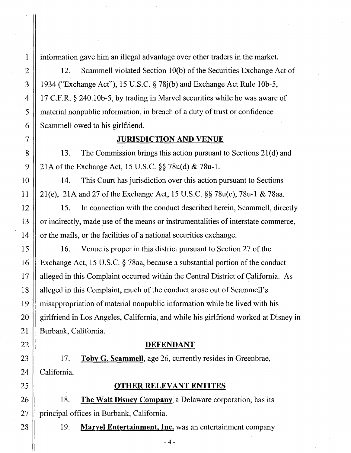information gave him an illegal advantage over other traders in the market.

12. Scammell violated Section 10(b) of the Securities Exchange Act of 1934 ("Exchange Act"), 15 U.S.C. § 78j(b) and Exchange Act Rule 10b-5, 17 C.F.R. § 240.10b-5, by trading in Marvel securities while he was aware of material nonpublic information, in breach of a duty of trust or confidence Scammell owed to his girlfriend.

#### JURISDICTION AND VENUE

13. The Commission brings this action pursuant to Sections 21 (d) and 21A of the Exchange Act, 15 U.S.C. §§ 78u(d) & 78u-1.

14. This Court has jurisdiction over this action pursuant to Sections 21(e), 21A and 27 of the Exchange Act, 15 U.S.C. §§ 78u(e), 78u-l & 78aa.

15. In connection with the conduct described herein, Scammell, directly or indirectly, made use of the means or instrumentalities of interstate commerce, or the mails, or the facilities of a national securities exchange.

16. Venue is proper in this district pursuant to Section 27 of the Exchange Act, 15 U.S.C. § 78aa, because a substantial portion of the conduct alleged in this Complaint occurred within the Central District of California. As alleged in this Complaint, much of the conduct arose out of Scammell's misappropriation of material nonpublic information while he lived with his girlfriend in Los Angeles, California, and while his girlfriend worked at Disney in Burbank, California.

#### DEFENDANT

17. Toby G. Scammell, age 26, currently resides in Greenbrae, California.

#### OTHER RELEVANT ENTITES

18. The Walt Disney Company, a Delaware corporation, has its principal offices in Burbank, California.

19. Marvel Entertainment, Inc. was an entertainment company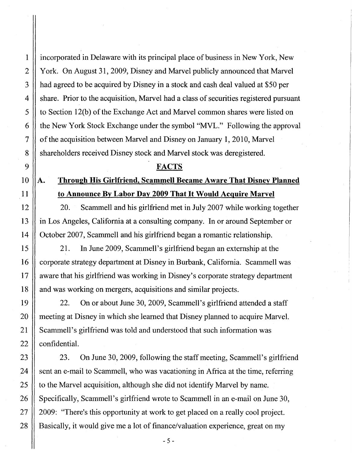1

2

3

4

incorporated in Delaware with its principal place of business in New York, New York. On August 31, 2009, Disney and Marvel publicly announced that Marvel had agreed to be acquired by Disney in a stock and cash deal valued at \$50 per share. Prior to the acquisition, Marvel had a class of securities registered pursuant to Section 12(b) of the Exchange Act and Marvel common shares were listed on the New York Stock Exchange under the symbol "MVL." Following the approval of the acquisition between Marvel and Disney on January 1,2010, Marvel shareholders received Disney stock and Marvel stock was deregistered.

#### FACTS

## A. Through His Girlfriend, Scammell Became Aware That Disney Planned to Announce By Labor Day 2009 That It Would Acquire Marvel

20. Scammell and his girlfriend met in July 2007 while working together in Los Angeles, California at a consulting company. In or around September or October 2007, Scammell and his girlfriend began a romantic relationship.

21. In June 2009, Scammell's girlfriend began an externship at the corporate strategy department at Disney in Burbank, California. Scammell was aware that his girlfriend was working in Disney's corporate strategy department and was working on mergers, acquisitions and similar projects.

22. On or about June 30, 2009, Scammell's girlfriend attended a staff meeting at Disney in which she learned that Disney planned to acquire Marvel. Scammell's girlfriend was told and understood that such information was confidential.

23. On June 30, 2009, following the staff meeting, Scammell's girlfriend sent an e-mail to Scammell, who was vacationing in Africa at the time, referring to the Marvel acquisition, although she did not identify Marvel by name. Specifically, Scammell's girlfriend wrote to Scammell in an e-mail on June 30, 2009: "There's this opportunity at work to get placed on a really cool project. Basically, it would give me a lot of finance/valuation experience, great on my

 $-5-$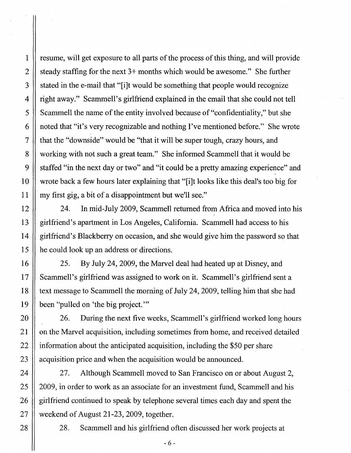1 2 3 4 5 6 7 8 9 10 11 12 13 14 15 16 17 18 resume, will get exposure to all parts of the process of this thing, and will provide steady staffing for the next 3+ months which would be awesome." She further stated in the e-mail that "[i]t would be something that people would recognize right away." Scammell's girlfriend explained in the email that she could not tell Scammell the name of the entity involved because of "confidentiality," but she noted that "it's very recognizable and nothing I've mentioned before." She wrote that the "downside" would be "that it will be super tough, crazy hours, and working with not such a great team." She informed Scammell that it would be staffed "in the next day or two" and "it could be a pretty amazing experience" and wrote back a few hours later explaining that "[i]t looks like this deal's too big for my first gig, a bit of a disappointment but we'll see." 24. In mid-July 2009, Scammell returned from Africa and moved into his girlfriend's apartment in Los Angeles, California. Scammell had access to his girlfriend's Blackberry on occasion, and she would give him the password so that he could look up an address or directions. 25. By July 24,2009, the Marvel deal had heated up at Disney, and Scammell's girlfriend was assigned to work on it. Scammell's girlfriend sent a text message to Scammell the morning of July 24,2009, telling him that she had

been "pulled on 'the big project. '"

19

20

21

22

23

24

25

26

27

28

26. During the next five weeks, Scammell's girlfriend worked long hours on the Marvel acquisition, including sometimes from home, and received detailed information about the anticipated acquisition, including the \$50 per share acquisition price and when the acquisition would be announced.

27. Although Scammell moved to San Francisco on or about August 2, 2009, in order to work as an associate for an investment fund, Scammell and his girlfriend continued to speak by telephone several times each day and spent the weekend of August 21-23, 2009, together.

28. Scammell and his girlfriend often discussed her work projects at

 $-6-$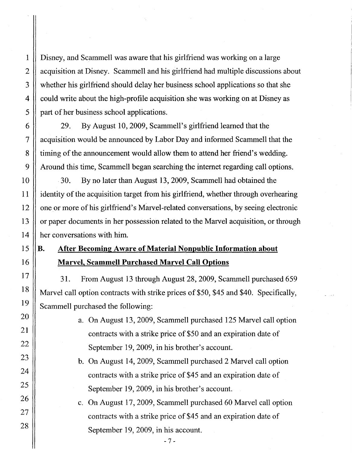Disney, and Scammell was aware that his girlfriend was working on a large acquisition at Disney. Scammell and his girlfriend had multiple discussions about whether his girlfriend should delay her business school applications so that she could write about the high-profile acquisition she was working on at Disney as part of her business school applications.

29. By August 10,2009, Scammell's girlfriend learned that the acquisition would be announced by Labor Day and informed Scammell that the timing of the announcement would allow them to attend her friend's wedding. Around this time, Scammell began searching the internet regarding call options.

30. By no later than August 13, 2009, Scammell had obtained the identity of the acquisition target from his girlfriend, whether through overhearing one or more of his girlfriend's Marvel-related conversations, by seeing electronic or paper documents in her possession related to the Marvel acquisition, or through her conversations with him.

### B. After Becoming Aware of Material Nonpublic Information about Marvel, Scammell Purchased Marvel Call Options

31. From August 13 through August 28, 2009, Scammell purchased 659 Marvel call option contracts with strike prices of \$50, \$45 and \$40. Specifically, Scammell purchased the following:

- a. On August 13, 2009, Scammell purchased 125 Marvel call option contracts with a strike price of \$50 and an expiration date of September 19, 2009, in his brother's account.
- b. On August 14, 2009, Scammell purchased 2 Marvel call option contracts with a strike price of \$45 and an expiration date of September 19, 2009, in his brother's account.
- c. On August 17, 2009, Scammell purchased 60 Marvel call option contracts with a strike price of \$45 and an expiration date of September 19,2009, in his account.

 $-7-$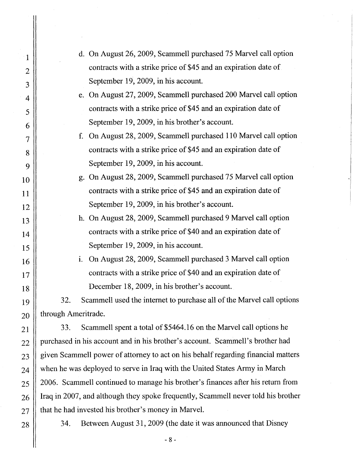| 1              | d. On August 26, 2009, Scammell purchased 75 Marvel call option                   |
|----------------|-----------------------------------------------------------------------------------|
| $\overline{2}$ | contracts with a strike price of \$45 and an expiration date of                   |
| 3              | September 19, 2009, in his account.                                               |
| 4              | e. On August 27, 2009, Scammell purchased 200 Marvel call option                  |
| 5              | contracts with a strike price of \$45 and an expiration date of                   |
| 6              | September 19, 2009, in his brother's account.                                     |
| $\overline{7}$ | On August 28, 2009, Scammell purchased 110 Marvel call option<br>f.               |
| 8              | contracts with a strike price of \$45 and an expiration date of                   |
| 9              | September 19, 2009, in his account.                                               |
| 10             | g. On August 28, 2009, Scammell purchased 75 Marvel call option                   |
| 11             | contracts with a strike price of \$45 and an expiration date of                   |
| 12             | September 19, 2009, in his brother's account.                                     |
| 13             | h. On August 28, 2009, Scammell purchased 9 Marvel call option                    |
| 14             | contracts with a strike price of \$40 and an expiration date of                   |
| 15             | September 19, 2009, in his account.                                               |
| 16             | On August 28, 2009, Scammell purchased 3 Marvel call option<br>i.                 |
| 17             | contracts with a strike price of \$40 and an expiration date of                   |
| 18             | December 18, 2009, in his brother's account.                                      |
| 19             | Scammell used the internet to purchase all of the Marvel call options<br>32.      |
| 20             | through Ameritrade.                                                               |
| 21             | Scammell spent a total of \$5464.16 on the Marvel call options he<br>33.          |
| 22             | purchased in his account and in his brother's account. Scammell's brother had     |
| 23             | given Scammell power of attorney to act on his behalf regarding financial matters |
| 24             | when he was deployed to serve in Iraq with the United States Army in March        |
| 25             | 2006. Scammell continued to manage his brother's finances after his return from   |
| 26             | Iraq in 2007, and although they spoke frequently, Scammell never told his brother |
| 27             | that he had invested his brother's money in Marvel.                               |
|                |                                                                                   |

34. Between August 31, 2009 (the date it was announced that Disney

28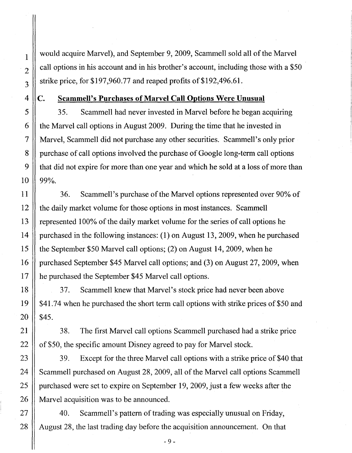would acquire Marvel), and September 9,2009, Scammell sold all of the Marvel call options in his account and in his brother's account, including those with a \$50 strike price, for  $$197,960.77$  and reaped profits of  $$192,496.61$ .

4

1

2

3

#### C. Scammell's Purchases of Marvel Call Options Were Unusual

35. Scammell had never invested in Marvel before he began acquiring the Marvel call options in August 2009. During the time that he invested in Marvel, Scammell did not purchase any other securities. Scammell's only prior purchase of call options involved the purchase of Google long-term call options that did not expire for more than one year and which he sold at a loss of more than 99%.

36. Scammell's purchase of the Marvel options represented over 90% of the daily market volume for those options in most instances. Scammell represented 100% of the daily market volume for the series of call options he purchased in the following instances: (1) on August 13,2009, when he purchased the September \$50 Marvel call options; (2) on August 14,2009, when he purchased September \$45 Marvel call options; and (3) on August 27,2009, when he purchased the September \$45 Marvel call options.

37. Scammell knew that Marvel's stock price had never been above \$41.74 when he purchased the short term call options with strike prices of \$50 and \$45.

38. The first Marvel call options Scammell purchased had a strike price of \$50, the specific amount Disney agreed to pay for Marvel stock.

39. Except for the three Marvel call options with a strike price of\$40 that Scammell purchased on August 28, 2009, all of the Marvel call options Scammell purchased were set to expire on September 19, 2009, just a few weeks after the Marvel acquisition was to be announced.

40. Scammell's pattern of trading was especially unusual on Friday, August 28, the last trading day before the acquisition announcement. On that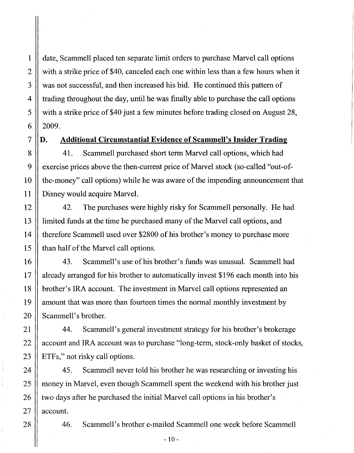date, Scammell placed ten separate limit orders to purchase Marvel call options with a strike price of \$40, canceled each one within less than a few hours when it was not successful, and then increased his bid. He continued this pattern of trading throughout the day, until he was finally able to purchase the call options with a strike price of \$40 just a few minutes before trading closed on August 28, 2009.

1

2

3

4

5

6

7

8

9

10

11

12

13

14

15

16

17

18

19

20

21

22

#### **D. Additional Circumstantial Evidence of Scammell's Insider Trading**

41. Scammell purchased short term Marvel call options, which had exercise prices above the then-current price of Marvel stock (so-called "out-ofthe-money" call options) while he was aware of the impending announcement that Disney would acquire Marvel.

42. The purchases were highly risky for Scammell personally. He had limited funds at the time he purchased many of the Marvel call options, and therefore Scammell used over \$2800 of his brother's money to purchase more than half of the Marvel call options.

43. Scammell's use of his brother's funds was unusual. Scammell had already arranged for his brother to automatically invest \$196 each month into his brother's IRA account. The investment in Marvel call options represented an amount that was more than fourteen times the normal monthly investment by Scammell's brother.

44. Scammell's general investment strategy for his brother's brokerage account and IRA account was to purchase "long-term, stock-only basket of stocks, ETFs," not risky call options.

45. Scammell never told his brother he was researching or investing his money in Marvel, even though Scammell spent the weekend with his brother just two days after he purchased the initial Marvel call options in his brother's account.

46. Scammell's brother e-mailed Scammell one week before Scammell

 $-10-$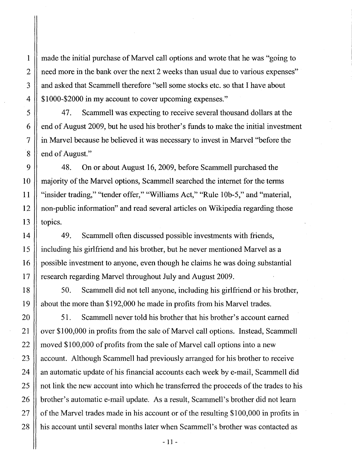made the initial purchase of Marvel call options and wrote that he was "going to need more in the bank over the next 2 weeks than usual due to various expenses" and asked that Scammell therefore "sell some stocks etc. so that I have about \$1000-\$2000 in my account to cover upcoming expenses."

47. Scammell was expecting to receive several thousand dollars at the end of August 2009, but he used his brother's funds to make the initial investment in Marvel because he believed it was necessary to invest in Marvel "before the end of August."

48. On or about August 16,2009, before Scammell purchased the majority of the Marvel options, Scammell searched the internet for the terms "insider trading," "tender offer," "Williams Act," "Rule 10b-5," and "material, non-public information" and read several articles on Wikipedia regarding those topics.

49. Scammell often discussed possible investments with friends, including his girlfriend and his brother, but he never mentioned Marvel as a possible investment to anyone, even though he claims he was doing substantial research regarding Marvel throughout July and August 2009.

50. Scammell did not tell anyone, including his girlfriend or his brother, about the more than \$192,000 he made in profits from his Marvel trades.

51. Scammell never told his brother that his brother's account earned over \$100,000 in profits from the sale of Marvel call options. Instead, Scammell moved \$100,000 of profits from the sale of Marvel call options into a new account. Although Scammell had previously arranged for his brother to receive an automatic update of his financial accounts each week by e-mail, Scammell did not link the new account into which he transferred the proceeds of the trades to his brother's automatic e-mail update. As a result, Scammell's brother did not learn of the Marvel trades made in his account or of the resulting \$100,000 in profits in his account until several months later when Scammell's brother was contacted as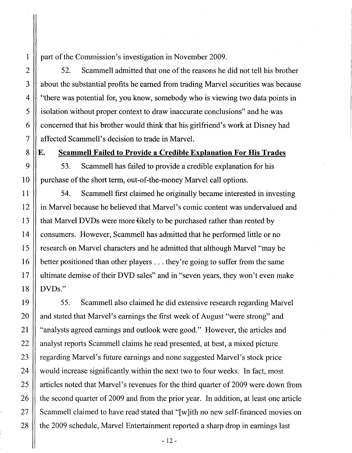part of the Commission's investigation in November 2009.

52. Scammell admitted that one of the reasons he did not tell his brother about the substantial profits he earned from trading Marvel securities was because "there was potential for, you know, somebody who is viewing two data points in isolation without proper context to draw inaccurate conclusions" and he was concerned that his brother would think that his girlfriend's work at Disney had affected Scammell's decision to trade in Marvel.

E. Scammell Failed to Provide a Credible Explanation For His Trades

53. Scammell has failed to provide a credible explanation for his purchase of the short term, out-of-the-money Marvel call options.

54. Scammell first claimed he originally became interested in investing in Marvel because he believed that Marvel's comic content was undervalued and that Marvel DVDs were more likely to be purchased rather than rented by consumers. However, Scammell has admitted that he performed little or no research on Marvel characters and he admitted that although Marvel "may be better positioned than other players ... they're going to suffer from the same ultimate demise of their DVD sales" and in "seven years, they won't even make DVDs."

55. Scammell also claimed he did extensive research regarding Marvel and stated that Marvel's earnings the first week of August "were strong" and "analysts agreed earnings and outlook were good." However, the articles and analyst reports Scammell claims he read presented, at best, a mixed picture regarding Marvel's future earnings and none suggested Marvel's stock price would increase significantly within the next two to four weeks. In fact, most articles noted that Marvel's revenues for the third quarter of 2009 were down from the second quarter of 2009 and from the prior year. In addition, at least one article Scammell claimed to have read stated that "[ w lith no new self-financed movies on the 2009 schedule, Marvel Entertainment reported a sharp drop in earnings last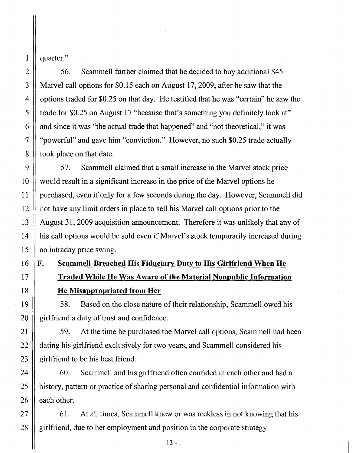quarter."

1

2

3

4

5

6

7

8

9

10

11

12

13

14

15

16

17

18

19

20

21

22

23

24

25

26

27

28

56. Scammell further claimed that he decided to buy additional \$45 Marvel call options for \$0.15 each on August 17,2009, after he saw that the options traded for \$0.25 on that day\_ He testified that he was "certain" he saw the trade for \$0.25 on August 17 "because that's something you definitely look at" and since it was "the actual trade that happened" and "not theoretical," it was "powerful" and gave him "conviction." However, no such \$0.25 trade actually took place on that date.

57. Scammell claimed that a small increase in the Marvel stock price would result in a significant increase in the price of the Marvel options he purchased, even if only for a few seconds during the day. However, Scammell did not have any limit orders in place to sell his Marvel call options prior to the August 31, 2009 acquisition announcement. Therefore it was unlikely that any of his call options would be sold even if Marvel's stock temporarily increased during an intraday price swing.

# F. Scammell Breached His Fiduciary Duty to His Girlfriend When He Traded While He Was Aware of the Material Nonpublic Information He Misappropriated from Her

58. Based on the close nature of their relationship, Scammell owed his girlfriend a duty of trust and confidence.

59. At the time he purchased the Marvel call options, Scammell had been dating his girlfriend exclusively for two years, and Scammell considered his girlfriend to be his best friend.

60. Scammell and his girlfriend often confided in each other and had a history, pattern or practice of sharing personal and confidential information with each other.

61. At all times, Scammell knew or was reckless in not knowing that his girlfriend, due to her employment and position in the corporate strategy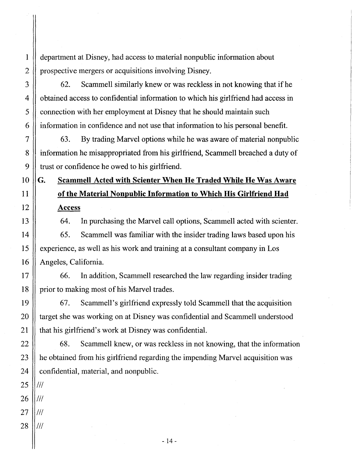department at Disney, had access to material nonpublic information about prospective mergers or acquisitions involving Disney.

62. Scammell similarly knew or was reckless in not knowing that ifhe obtained access to confidential information to which his girlfriend had access in connection with her employment at Disney that he should maintain such information in confidence and not use that information to his personal benefit.

63. By trading Marvel options while he was aware of material nonpublic information he misappropriated from his girlfriend, Scammell breached a duty of trust or confidence he owed to his girlfriend.

## G. Scammell Acted with Scienter When He Traded While He Was Aware of the Material Nonpuhlic Information to Which His Girlfriend Had Access

64. In purchasing the Marvel call options, Scammell acted with scienter.

65. Scammell was familiar with the insider trading laws based upon his experience, as well as his work and training at a consultant company in Los Angeles, California.

66. In addition, Scammell researched the law regarding insider trading prior to making most of his Marvel trades.

67. Scammell's girlfriend expressly told Scammell that the acquisition target she was working on at Disney was confidential and Scammell understood that his girlfriend's work at Disney was confidential.

68. Scammell knew, or was reckless in not knowing, that the information he obtained from his girlfriend regarding the impending Marvel acquisition was confidential, material, and nonpublic.

 $III$ 

 $III$ 

III

III

1

2

3

4

5

6

7

8

9

10

11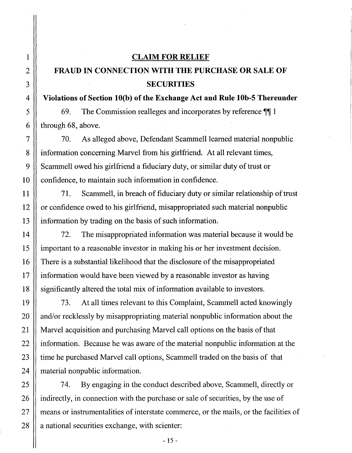# 1 2 3 4 5 6 7 8 9 10 11 12 13 14 15 16 17 18 19 20 21 22 23 24 25 26 27 28

#### CLAIM FOR RELIEF

## FRAUD IN CONNECTION WITH THE PURCHASE OR SALE OF **SECURITIES**

#### Violations of Section lO(b) of the Exchange Act and Rule lOb-5 Thereunder

69. The Commission realleges and incorporates by reference  $\P\P$  1 through 68, above.

70. As alleged above, Defendant Scammell learned material nonpublic information concerning Marvel from his girlfriend. At all relevant times, Scammell owed his girlfriend a fiduciary duty, or similar duty of trust or confidence, to maintain such information in confidence.

71. Scammell, in breach of fiduciary duty or similar relationship of trust or confidence owed to his girlfriend, misappropriated such material nonpublic information by trading on the basis of such information.

72. The misappropriated information was material because it would be important to a reasonable investor in making his or her investment decision. There is a substantial likelihood that the disclosure of the misappropriated information would have been viewed by a reasonable investor as having significantly altered the total mix of information available to investors.

73. At all times relevant to this Complaint, Scammell acted knowingly and/or recklessly by misappropriating material nonpublic information about the Marvel acquisition and purchasing Marvel call options on the basis of that information. Because he was aware of the material nonpublic information at the time he purchased Marvel call options, Scammell traded on the basis of that material nonpublic information.

74. By engaging in the conduct described above, Scammell, directly or indirectly, in connection with the purchase or sale of securities, by the use of means or instrumentalities of interstate commerce, or the mails, or the facilities of a national securities exchange, with scienter: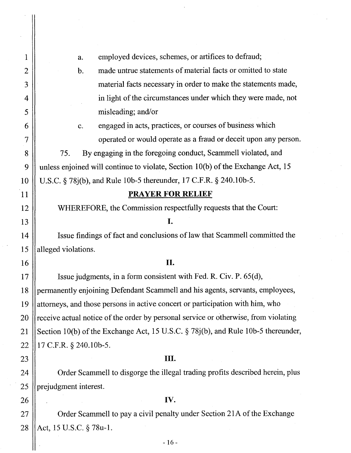| 1              | employed devices, schemes, or artifices to defraud;<br>a.                           |
|----------------|-------------------------------------------------------------------------------------|
| $\overline{2}$ | made untrue statements of material facts or omitted to state<br>$\mathbf b$ .       |
| 3              | material facts necessary in order to make the statements made,                      |
| 4              | in light of the circumstances under which they were made, not                       |
| 5              | misleading; and/or                                                                  |
| 6              | engaged in acts, practices, or courses of business which<br>c.                      |
| $\overline{7}$ | operated or would operate as a fraud or deceit upon any person.                     |
| 8              | By engaging in the foregoing conduct, Scammell violated, and<br>75.                 |
| 9              | unless enjoined will continue to violate, Section 10(b) of the Exchange Act, 15     |
| 10             | U.S.C. § 78j(b), and Rule 10b-5 thereunder, 17 C.F.R. § 240.10b-5.                  |
| 11             | <b>PRAYER FOR RELIEF</b>                                                            |
| 12             | WHEREFORE, the Commission respectfully requests that the Court:                     |
| 13             | I.                                                                                  |
| 14             | Issue findings of fact and conclusions of law that Scammell committed the           |
| 15             | alleged violations.                                                                 |
| 16             | II.                                                                                 |
| 17             | Issue judgments, in a form consistent with Fed. R. Civ. P. 65(d),                   |
| 18             | permanently enjoining Defendant Scammell and his agents, servants, employees,       |
| 19             | attorneys, and those persons in active concert or participation with him, who       |
| 20             | receive actual notice of the order by personal service or otherwise, from violating |
| 21             | Section 10(b) of the Exchange Act, 15 U.S.C. § 78j(b), and Rule 10b-5 thereunder,   |
| 22             | 17 C.F.R. § 240.10b-5.                                                              |
| 23             | Ш.                                                                                  |
| 24             | Order Scammell to disgorge the illegal trading profits described herein, plus       |
| 25             | prejudgment interest.                                                               |
| 26             | IV.                                                                                 |
| 27             | Order Scammell to pay a civil penalty under Section 21A of the Exchange             |
| 28             | Act, 15 U.S.C. § 78u-1.                                                             |

 $-16-$